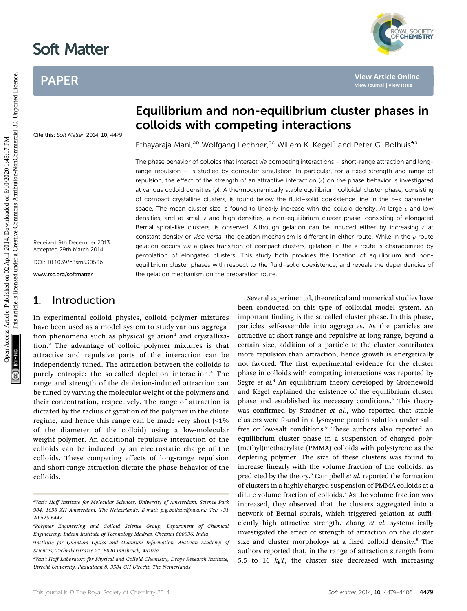# Soft Matter

Cite this: Soft Matter, 2014, 10, 4479

## PAPER



## Equilibrium and non-equilibrium cluster phases in colloids with competing interactions

Ethayaraja Mani,<sup>ab</sup> Wolfgang Lechner,<sup>ac</sup> Willem K. Kegel<sup>d</sup> and Peter G. Bolhuis<sup>\*a</sup>

The phase behavior of colloids that interact via competing interactions - short-range attraction and longrange repulsion – is studied by computer simulation. In particular, for a fixed strength and range of repulsion, the effect of the strength of an attractive interaction  $(e)$  on the phase behavior is investigated at various colloid densities  $(\rho)$ . A thermodynamically stable equilibrium colloidal cluster phase, consisting of compact crystalline clusters, is found below the fluid–solid coexistence line in the  $\varepsilon-\rho$  parameter space. The mean cluster size is found to linearly increase with the colloid density. At large  $\varepsilon$  and low densities, and at small  $\varepsilon$  and high densities, a non-equilibrium cluster phase, consisting of elongated Bernal spiral-like clusters, is observed. Although gelation can be induced either by increasing  $\varepsilon$  at constant density or vice versa, the gelation mechanism is different in either route. While in the  $\rho$  route gelation occurs via a glass transition of compact clusters, gelation in the  $\varepsilon$  route is characterized by percolation of elongated clusters. This study both provides the location of equilibrium and nonequilibrium cluster phases with respect to the fluid–solid coexistence, and reveals the dependencies of the gelation mechanism on the preparation route. PAPER<br>
Equilibrium and non-equilibrium cluster phases in the state of the content of the state of the state of the state of the state of the state of the state of the state of the state of the state of the state of the st

Received 9th December 2013 Accepted 29th March 2014 DOI: 10.1039/c3sm53058b

www.rsc.org/softmatter

## 1. Introduction

In experimental colloid physics, colloid–polymer mixtures have been used as a model system to study various aggregation phenomena such as physical gelation $1$  and crystallization.<sup>2</sup> The advantage of colloid–polymer mixtures is that attractive and repulsive parts of the interaction can be independently tuned. The attraction between the colloids is purely entropic: the so-called depletion interaction.<sup>3</sup> The range and strength of the depletion-induced attraction can be tuned by varying the molecular weight of the polymers and their concentration, respectively. The range of attraction is dictated by the radius of gyration of the polymer in the dilute regime, and hence this range can be made very short (<1% of the diameter of the colloid) using a low-molecular weight polymer. An additional repulsive interaction of the colloids can be induced by an electrostatic charge of the colloids. These competing effects of long-range repulsion and short-range attraction dictate the phase behavior of the colloids.

been conducted on this type of colloidal model system. An important finding is the so-called cluster phase. In this phase, particles self-assemble into aggregates. As the particles are attractive at short range and repulsive at long range, beyond a certain size, addition of a particle to the cluster contributes more repulsion than attraction, hence growth is energetically not favored. The first experimental evidence for the cluster phase in colloids with competing interactions was reported by Segre et al.<sup>4</sup> An equilibrium theory developed by Groenewold and Kegel explained the existence of the equilibrium cluster phase and established its necessary conditions.<sup>5</sup> This theory was confirmed by Stradner et al., who reported that stable clusters were found in a lysozyme protein solution under saltfree or low-salt conditions.<sup>6</sup> These authors also reported an equilibrium cluster phase in a suspension of charged poly- (methyl)methacrylate (PMMA) colloids with polystyrene as the depleting polymer. The size of these clusters was found to increase linearly with the volume fraction of the colloids, as predicted by the theory.<sup>5</sup> Campbell *et al.* reported the formation of clusters in a highly charged suspension of PMMA colloids at a dilute volume fraction of colloids.<sup>7</sup> As the volume fraction was increased, they observed that the clusters aggregated into a network of Bernal spirals, which triggered gelation at sufficiently high attractive strength. Zhang et al. systematically investigated the effect of strength of attraction on the cluster size and cluster morphology at a fixed colloid density.<sup>8</sup> The authors reported that, in the range of attraction strength from 5.5 to 16  $k_B T$ , the cluster size decreased with increasing

Several experimental, theoretical and numerical studies have

<sup>&</sup>quot;Van't Hoff Institute for Molecular Sciences, University of Amsterdam, Science Park 904, 1098 XH Amsterdam, The Netherlands. E-mail: p.g.bolhuis@uva.nl; Tel: +31 20 525 6447

b Polymer Engineering and Colloid Science Group, Department of Chemical Engineering, Indian Institute of Technology Madras, Chennai 600036, India

Institute for Quantum Optics and Quantum Information, Austrian Academy of Sciences, Technikerstrasse 21, 6020 Innsbruck, Austria

dVan't Hoff Laboratory for Physical and Colloid Chemistry, Debye Research Institute, Utrecht University, Padualaan 8, 3584 CH Utrecht, The Netherlands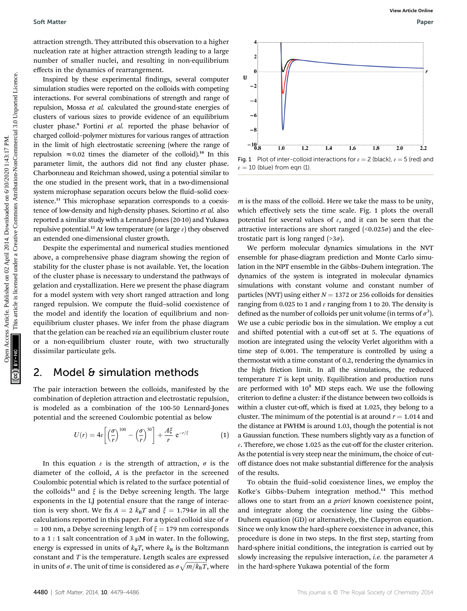attraction strength. They attributed this observation to a higher nucleation rate at higher attraction strength leading to a large number of smaller nuclei, and resulting in non-equilibrium effects in the dynamics of rearrangement.

Inspired by these experimental findings, several computer simulation studies were reported on the colloids with competing interactions. For several combinations of strength and range of repulsion, Mossa et al. calculated the ground-state energies of clusters of various sizes to provide evidence of an equilibrium cluster phase.<sup>9</sup> Fortini et al. reported the phase behavior of charged colloid–polymer mixtures for various ranges of attraction in the limit of high electrostatic screening (where the range of repulsion  $\approx 0.02$  times the diameter of the colloid).<sup>10</sup> In this parameter limit, the authors did not find any cluster phase. Charbonneau and Reichman showed, using a potential similar to the one studied in the present work, that in a two-dimensional system microphase separation occurs below the fluid-solid coexistence.<sup>11</sup> This microphase separation corresponds to a coexistence of low-density and high-density phases. Sciortino et al. also reported a similar study with a Lennard-Jones (20-10) and Yukawa repulsive potential.<sup>12</sup> At low temperature (or large  $\varepsilon$ ) they observed an extended one-dimensional cluster growth. Soft Matter<br>
access Contract Depter access Operation on temple access are a region on depter access and the contract of interaction and the common and the commons are determined in the properties are commons and the commo

Despite the experimental and numerical studies mentioned above, a comprehensive phase diagram showing the region of stability for the cluster phase is not available. Yet, the location of the cluster phase is necessary to understand the pathways of gelation and crystallization. Here we present the phase diagram for a model system with very short ranged attraction and long ranged repulsion. We compute the fluid-solid coexistence of the model and identify the location of equilibrium and nonequilibrium cluster phases. We infer from the phase diagram that the gelation can be reached via an equilibrium cluster route or a non-equilibrium cluster route, with two structurally dissimilar particulate gels.

### 2. Model & simulation methods

The pair interaction between the colloids, manifested by the combination of depletion attraction and electrostatic repulsion, is modeled as a combination of the 100-50 Lennard-Jones potential and the screened Coulombic potential as below

$$
U(r) = 4\varepsilon \left[ \left( \frac{\sigma}{r} \right)^{100} - \left( \frac{\sigma}{r} \right)^{50} \right] + \frac{A\xi}{r} e^{-r/\xi}
$$
 (1)

In this equation  $\varepsilon$  is the strength of attraction,  $\sigma$  is the diameter of the colloid, A is the prefactor in the screened Coulombic potential which is related to the surface potential of the colloids<sup>13</sup> and  $\xi$  is the Debye screening length. The large exponents in the LJ potential ensure that the range of interaction is very short. We fix  $A = 2 k_B T$  and  $\xi = 1.794\sigma$  in all the calculations reported in this paper. For a typical colloid size of  $\sigma$  $=$  100 nm, a Debye screening length of  $\xi = 179$  nm corresponds to a 1 : 1 salt concentration of 3  $\mu$ M in water. In the following, energy is expressed in units of  $k_BT$ , where  $k_B$  is the Boltzmann constant and  $T$  is the temperature. Length scales are expressed in units of  $\sigma.$  The unit of time is considered as  $\sigma\sqrt{m/k_{\rm B}T},$  where

Fig. 1 Plot of inter-colloid interactions for  $\varepsilon = 2$  (black),  $\varepsilon = 5$  (red) and

 $m$  is the mass of the colloid. Here we take the mass to be unity, which effectively sets the time scale. Fig. 1 plots the overall potential for several values of  $\varepsilon$ , and it can be seen that the attractive interactions are short ranged  $(\leq 0.025\sigma)$  and the electrostatic part is long ranged  $($ >3 $\sigma$ ).

 $\epsilon = 10$  (blue) from eqn (1).

We perform molecular dynamics simulations in the NVT ensemble for phase-diagram prediction and Monte Carlo simulation in the NPT ensemble in the Gibbs–Duhem integration. The dynamics of the system is integrated in molecular dynamics simulations with constant volume and constant number of particles (NVT) using either  $N = 1372$  or 256 colloids for densities ranging from 0.025 to 1 and  $\varepsilon$  ranging from 1 to 20. The density is defined as the number of colloids per unit volume (in terms of  $\sigma^3$ ). We use a cubic periodic box in the simulation. We employ a cut and shifted potential with a cut-off set at 5. The equations of motion are integrated using the velocity Verlet algorithm with a time step of 0.001. The temperature is controlled by using a thermostat with a time constant of 0.2, rendering the dynamics in the high friction limit. In all the simulations, the reduced temperature  $T$  is kept unity. Equilibration and production runs are performed with  $10^8$  MD steps each. We use the following criterion to define a cluster: if the distance between two colloids is within a cluster cut-off, which is fixed at 1.025, they belong to a cluster. The minimum of the potential is at around  $r = 1.014$  and the distance at FWHM is around 1.03, though the potential is not a Gaussian function. These numbers slightly vary as a function of  $\varepsilon$ . Therefore, we chose 1.025 as the cut-off for the cluster criterion. As the potential is very steep near the minimum, the choice of cutoff distance does not make substantial difference for the analysis of the results.

To obtain the fluid–solid coexistence lines, we employ the Kofke's Gibbs-Duhem integration method.<sup>14</sup> This method allows one to start from an a priori known coexistence point, and integrate along the coexistence line using the Gibbs– Duhem equation (GD) or alternatively, the Clapeyron equation. Since we only know the hard-sphere coexistence in advance, this procedure is done in two steps. In the first step, starting from hard-sphere initial conditions, the integration is carried out by slowly increasing the repulsive interaction, *i.e.* the parameter A in the hard-sphere Yukawa potential of the form

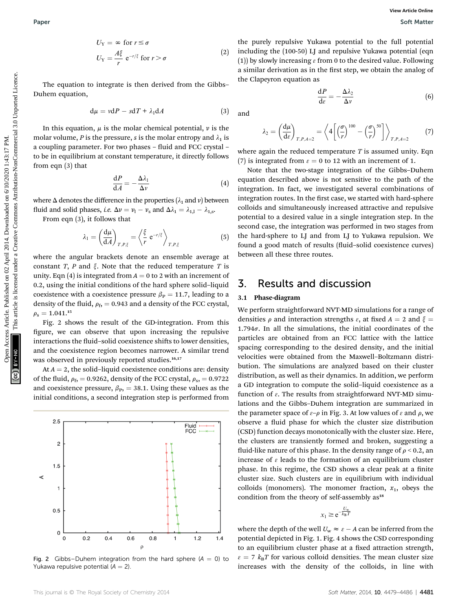$$
U_{Y} = \infty \text{ for } r \le \sigma
$$
  
\n
$$
U_{Y} = \frac{A\xi}{r} e^{-r/\xi} \text{ for } r > \sigma
$$
 (2)

The equation to integrate is then derived from the Gibbs– Duhem equation,

$$
d\mu = v dP - s dT + \lambda_1 dA \qquad (3)
$$

In this equation,  $\mu$  is the molar chemical potential,  $\nu$  is the molar volume, P is the pressure, s is the molar entropy and  $\lambda_1$  is a coupling parameter. For two phases - fluid and FCC crystal to be in equilibrium at constant temperature, it directly follows from eqn (3) that

$$
\frac{\mathrm{d}P}{\mathrm{d}A} = -\frac{\Delta\lambda_1}{\Delta\nu} \tag{4}
$$

where  $\Delta$  denotes the difference in the properties ( $\lambda_1$  and v) between fluid and solid phases, *i.e.*  $\Delta v = v_1 - v_s$  and  $\Delta \lambda_1 = \lambda_{1,1} - \lambda_{1,s}$ .

From eqn (3), it follows that

$$
\lambda_1 = \left(\frac{\mathrm{d}\mu}{\mathrm{d}A}\right)_{T,P,\xi} = \left\langle \frac{\xi}{r} \,\mathrm{e}^{-r/\xi} \right\rangle_{T,P,\xi} \tag{5}
$$

where the angular brackets denote an ensemble average at constant T, P and  $\xi$ . Note that the reduced temperature T is unity. Eqn (4) is integrated from  $A = 0$  to 2 with an increment of 0.2, using the initial conditions of the hard sphere solid–liquid coexistence with a coexistence pressure  $\beta_P = 11.7$ , leading to a density of the fluid,  $\rho_f$ , = 0.943 and a density of the FCC crystal,  $\rho_{\rm s} = 1.041.^{15}$ 

Fig. 2 shows the result of the GD-integration. From this figure, we can observe that upon increasing the repulsive interactions the fluid–solid coexistence shifts to lower densities, and the coexistence region becomes narrower. A similar trend was observed in previously reported studies.<sup>16,17</sup>

At  $A = 2$ , the solid-liquid coexistence conditions are: density of the fluid,  $\rho_f$ , = 0.9262, density of the FCC crystal,  $\rho_s$ , = 0.9722 and coexistence pressure,  $\beta_{\text{P}}$ , = 38.1. Using these values as the initial conditions, a second integration step is performed from



Fig. 2 Gibbs–Duhem integration from the hard sphere  $(A = 0)$  to Yukawa repulsive potential  $(A = 2)$ .

the purely repulsive Yukawa potential to the full potential including the (100-50) LJ and repulsive Yukawa potential (eqn (1)) by slowly increasing  $\varepsilon$  from 0 to the desired value. Following a similar derivation as in the first step, we obtain the analog of the Clapeyron equation as

$$
\frac{\mathrm{d}P}{\mathrm{d}\varepsilon} = -\frac{\Delta\lambda_2}{\Delta v} \tag{6}
$$

and

$$
\lambda_2 = \left(\frac{\mathrm{d}\mu}{\mathrm{d}\varepsilon}\right)_{T,P,A=2} = \left\langle 4\left[\left(\frac{\sigma}{r}\right)^{100} - \left(\frac{\sigma}{r}\right)^{50}\right]\right\rangle_{T,P,A=2} \tag{7}
$$

where again the reduced temperature  $T$  is assumed unity. Eqn (7) is integrated from  $\varepsilon = 0$  to 12 with an increment of 1.

Note that the two-stage integration of the Gibbs–Duhem equation described above is not sensitive to the path of the integration. In fact, we investigated several combinations of integration routes. In the first case, we started with hard-sphere colloids and simultaneously increased attractive and repulsive potential to a desired value in a single integration step. In the second case, the integration was performed in two stages from the hard-sphere to LJ and from LJ to Yukawa repulsion. We found a good match of results (fluid-solid coexistence curves) between all these three routes. Paper<br>  $U_3 = \frac{u}{r} e^{-x/3} (5r) > g$  (2) the published on 02 April 2014. Download paper (100, 50) and transition between position between the common content (10) and<br>  $U_2 = \frac{u}{r} e^{-x/3} (5r) + 2$ , dot are there is the component

## 3. Results and discussion

#### 3.1 Phase-diagram

We perform straightforward NVT-MD simulations for a range of densities  $\rho$  and interaction strengths  $\varepsilon$ , at fixed  $A = 2$  and  $\xi = \frac{1}{2}$ 1.794 $\sigma$ . In all the simulations, the initial coordinates of the particles are obtained from an FCC lattice with the lattice spacing corresponding to the desired density, and the initial velocities were obtained from the Maxwell–Boltzmann distribution. The simulations are analyzed based on their cluster distribution, as well as their dynamics. In addition, we perform a GD integration to compute the solid–liquid coexistence as a function of  $\varepsilon$ . The results from straightforward NVT-MD simulations and the Gibbs–Duhem integration are summarized in the parameter space of  $\varepsilon-\rho$  in Fig. 3. At low values of  $\varepsilon$  and  $\rho$ , we observe a fluid phase for which the cluster size distribution (CSD) function decays monotonically with the cluster size. Here, the clusters are transiently formed and broken, suggesting a fluid-like nature of this phase. In the density range of  $\rho < 0.2$ , an increase of  $\epsilon$  leads to the formation of an equilibrium cluster phase. In this regime, the CSD shows a clear peak at a finite cluster size. Such clusters are in equilibrium with individual colloids (monomers). The monomer fraction,  $x_1$ , obeys the condition from the theory of self-assembly as<sup>18</sup>

 $x_1 \ge e^{-\frac{U_w}{k_B T}}$ 

where the depth of the well  $U_w \approx \varepsilon - A$  can be inferred from the potential depicted in Fig. 1. Fig. 4 shows the CSD corresponding to an equilibrium cluster phase at a fixed attraction strength,  $\epsilon = 7$   $k_B T$  for various colloid densities. The mean cluster size increases with the density of the colloids, in line with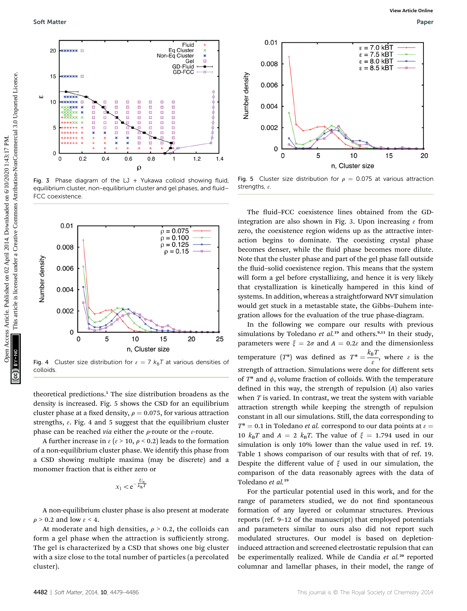

Fig. 3 Phase diagram of the LJ + Yukawa colloid showing fluid, equilibrium cluster, non-equilibrium cluster and gel phases, and fluid– FCC coexistence.



Fig. 4 Cluster size distribution for  $\varepsilon = 7$   $k_B T$  at various densities of colloids.

theoretical predictions.<sup>5</sup> The size distribution broadens as the density is increased. Fig. 5 shows the CSD for an equilibrium cluster phase at a fixed density,  $\rho = 0.075$ , for various attraction strengths,  $\varepsilon$ . Fig. 4 and 5 suggest that the equilibrium cluster phase can be reached via either the  $\rho$ -route or the  $\varepsilon$ -route.

A further increase in  $\varepsilon$  ( $\varepsilon$  > 10,  $\rho$  < 0.2) leads to the formation of a non-equilibrium cluster phase. We identify this phase from a CSD showing multiple maxima (may be discrete) and a monomer fraction that is either zero or

$$
x_1 < e^{-\frac{U_w}{k_B T}}
$$

A non-equilibrium cluster phase is also present at moderate  $\rho$  > 0.2 and low  $\varepsilon$  < 4.

At moderate and high densities,  $\rho > 0.2$ , the colloids can form a gel phase when the attraction is sufficiently strong. The gel is characterized by a CSD that shows one big cluster with a size close to the total number of particles (a percolated cluster).



Fig. 5 Cluster size distribution for  $\rho = 0.075$  at various attraction strengths,  $\varepsilon$ .

The fluid–FCC coexistence lines obtained from the GDintegration are also shown in Fig. 3. Upon increasing  $\varepsilon$  from zero, the coexistence region widens up as the attractive interaction begins to dominate. The coexisting crystal phase becomes denser, while the fluid phase becomes more dilute. Note that the cluster phase and part of the gel phase fall outside the fluid–solid coexistence region. This means that the system will form a gel before crystallizing, and hence it is very likely that crystallization is kinetically hampered in this kind of systems. In addition, whereas a straightforward NVT simulation would get stuck in a metastable state, the Gibbs–Duhem integration allows for the evaluation of the true phase-diagram.

In the following we compare our results with previous simulations by Toledano et  $al.^{19}$  and others.<sup>9,11</sup> In their study, parameters were  $\xi = 2\sigma$  and  $A = 0.2\varepsilon$  and the dimensionless temperature  $(T^*)$  was defined as  $T^* = \frac{k_B T}{\varepsilon}$ , where  $\varepsilon$  is the strength of attraction. Simulations were done for different sets of  $T^*$  and  $\phi$ , volume fraction of colloids. With the temperature defined in this way, the strength of repulsion  $(A)$  also varies when  $T$  is varied. In contrast, we treat the system with variable attraction strength while keeping the strength of repulsion constant in all our simulations. Still, the data corresponding to  $T^* = 0.1$  in Toledano *et al.* correspond to our data points at  $\varepsilon =$ 10  $k_BT$  and  $A = 2$   $k_BT$ . The value of  $\xi = 1.794$  used in our simulation is only 10% lower than the value used in ref. 19. Table 1 shows comparison of our results with that of ref. 19. Despite the different value of  $\xi$  used in our simulation, the comparison of the data reasonably agrees with the data of Toledano et al.<sup>19</sup>

For the particular potential used in this work, and for the range of parameters studied, we do not find spontaneous formation of any layered or columnar structures. Previous reports (ref. 9–12 of the manuscript) that employed potentials and parameters similar to ours also did not report such modulated structures. Our model is based on depletioninduced attraction and screened electrostatic repulsion that can be experimentally realized. While de Candia et al.<sup>20</sup> reported columnar and lamellar phases, in their model, the range of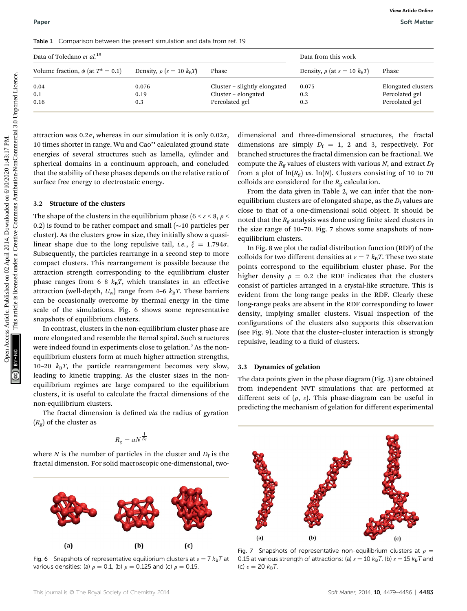|  | Table 1 Comparison between the present simulation and data from ref. 19 |  |  |  |  |  |  |  |  |
|--|-------------------------------------------------------------------------|--|--|--|--|--|--|--|--|
|--|-------------------------------------------------------------------------|--|--|--|--|--|--|--|--|

| Data of Toledano et al. <sup>19</sup>                                                                                                                                                                                                                                                                                                                                                                                                                                                                                                                                                                                                                                                                                                                                                                                                                                                                                                                                                                                                                                                                                                                                                                                                                                                                                                                                                                                                                                                                                                                                                        |                                              | Data from this work |                              |                                                                                                                                                                                                                                                                                                                                                                                                                                                                                                                                                                                                                                                                                                                                                                                                                                                                                                                                                                                                                                                                                                                                                                                                                                                                                                                                                                                                                                                                                                                |                                  |  |
|----------------------------------------------------------------------------------------------------------------------------------------------------------------------------------------------------------------------------------------------------------------------------------------------------------------------------------------------------------------------------------------------------------------------------------------------------------------------------------------------------------------------------------------------------------------------------------------------------------------------------------------------------------------------------------------------------------------------------------------------------------------------------------------------------------------------------------------------------------------------------------------------------------------------------------------------------------------------------------------------------------------------------------------------------------------------------------------------------------------------------------------------------------------------------------------------------------------------------------------------------------------------------------------------------------------------------------------------------------------------------------------------------------------------------------------------------------------------------------------------------------------------------------------------------------------------------------------------|----------------------------------------------|---------------------|------------------------------|----------------------------------------------------------------------------------------------------------------------------------------------------------------------------------------------------------------------------------------------------------------------------------------------------------------------------------------------------------------------------------------------------------------------------------------------------------------------------------------------------------------------------------------------------------------------------------------------------------------------------------------------------------------------------------------------------------------------------------------------------------------------------------------------------------------------------------------------------------------------------------------------------------------------------------------------------------------------------------------------------------------------------------------------------------------------------------------------------------------------------------------------------------------------------------------------------------------------------------------------------------------------------------------------------------------------------------------------------------------------------------------------------------------------------------------------------------------------------------------------------------------|----------------------------------|--|
| Volume fraction, $\phi$ (at $T^* = 0.1$ )                                                                                                                                                                                                                                                                                                                                                                                                                                                                                                                                                                                                                                                                                                                                                                                                                                                                                                                                                                                                                                                                                                                                                                                                                                                                                                                                                                                                                                                                                                                                                    | Density, $\rho$ ( $\varepsilon = 10 k_B T$ ) | Phase               |                              | Density, $\rho$ (at $\varepsilon = 10 k_B T$ )                                                                                                                                                                                                                                                                                                                                                                                                                                                                                                                                                                                                                                                                                                                                                                                                                                                                                                                                                                                                                                                                                                                                                                                                                                                                                                                                                                                                                                                                 | Phase                            |  |
| 0.04                                                                                                                                                                                                                                                                                                                                                                                                                                                                                                                                                                                                                                                                                                                                                                                                                                                                                                                                                                                                                                                                                                                                                                                                                                                                                                                                                                                                                                                                                                                                                                                         | 0.076                                        |                     | Cluster - slightly elongated | 0.075                                                                                                                                                                                                                                                                                                                                                                                                                                                                                                                                                                                                                                                                                                                                                                                                                                                                                                                                                                                                                                                                                                                                                                                                                                                                                                                                                                                                                                                                                                          | Elongated clusters               |  |
| 0.1<br>0.16                                                                                                                                                                                                                                                                                                                                                                                                                                                                                                                                                                                                                                                                                                                                                                                                                                                                                                                                                                                                                                                                                                                                                                                                                                                                                                                                                                                                                                                                                                                                                                                  | 0.19<br>0.3                                  | Percolated gel      | Cluster - elongated          | 0.2<br>0.3                                                                                                                                                                                                                                                                                                                                                                                                                                                                                                                                                                                                                                                                                                                                                                                                                                                                                                                                                                                                                                                                                                                                                                                                                                                                                                                                                                                                                                                                                                     | Percolated gel<br>Percolated gel |  |
| attraction was $0.2\sigma$ , whereas in our simulation it is only $0.02\sigma$ ,<br>10 times shorter in range. Wu and Cao <sup>21</sup> calculated ground state<br>energies of several structures such as lamella, cylinder and<br>spherical domains in a continuum approach, and concluded<br>that the stability of these phases depends on the relative ratio of<br>surface free energy to electrostatic energy.<br>Structure of the clusters<br>3.2<br>The shape of the clusters in the equilibrium phase (6 < $\varepsilon$ < 8, $\rho$ <<br>0.2) is found to be rather compact and small ( $\sim$ 10 particles per<br>cluster). As the clusters grow in size, they initially show a quasi-<br>linear shape due to the long repulsive tail, <i>i.e.</i> , $\xi = 1.794\sigma$ .<br>Subsequently, the particles rearrange in a second step to more<br>compact clusters. This rearrangement is possible because the<br>attraction strength corresponding to the equilibrium cluster<br>phase ranges from 6-8 $k_B T$ , which translates in an effective<br>attraction (well-depth, $U_w$ ) range from 4-6 $k_B T$ . These barriers<br>can be occasionally overcome by thermal energy in the time<br>scale of the simulations. Fig. 6 shows some representative<br>snapshots of equilibrium clusters.<br>In contrast, clusters in the non-equilibrium cluster phase are<br>more elongated and resemble the Bernal spiral. Such structures<br>were indeed found in experiments close to gelation. <sup>7</sup> As the non-<br>equilibrium clusters form at much higher attraction strengths, |                                              |                     | equilibrium clusters.        | dimensional and three-dimensional structures, the fractal<br>dimensions are simply $D_f = 1$ , 2 and 3, respectively. For<br>branched structures the fractal dimension can be fractional. We<br>compute the $R_g$ values of clusters with various N, and extract $D_f$<br>from a plot of $\ln(R_g)$ vs. $\ln(N)$ . Clusters consisting of 10 to 70<br>colloids are considered for the $R_g$ calculation.<br>From the data given in Table 2, we can infer that the non-<br>equilibrium clusters are of elongated shape, as the $D_f$ values are<br>close to that of a one-dimensional solid object. It should be<br>noted that the $R_g$ analysis was done using finite sized clusters in<br>the size range of 10-70. Fig. 7 shows some snapshots of non-<br>In Fig. 8 we plot the radial distribution function (RDF) of the<br>colloids for two different densities at $\varepsilon = 7 k_B T$ . These two state<br>points correspond to the equilibrium cluster phase. For the<br>higher density $\rho = 0.2$ the RDF indicates that the clusters<br>consist of particles arranged in a crystal-like structure. This is<br>evident from the long-range peaks in the RDF. Clearly these<br>long-range peaks are absent in the RDF corresponding to lower<br>density, implying smaller clusters. Visual inspection of the<br>configurations of the clusters also supports this observation<br>(see Fig. 9). Note that the cluster-cluster interaction is strongly<br>repulsive, leading to a fluid of clusters. |                                  |  |

#### 3.2 Structure of the clusters

In contrast, clusters in the non-equilibrium cluster phase are more elongated and resemble the Bernal spiral. Such structures were indeed found in experiments close to gelation.<sup>7</sup> As the nonequilibrium clusters form at much higher attraction strengths, 10–20  $k_BT$ , the particle rearrangement becomes very slow, leading to kinetic trapping. As the cluster sizes in the nonequilibrium regimes are large compared to the equilibrium clusters, it is useful to calculate the fractal dimensions of the non-equilibrium clusters.

The fractal dimension is defined *via* the radius of gyration  $(R_{\rm g})$  of the cluster as

$$
R_{\rm g}=aN^{\frac{1}{D_{\rm f}}}
$$

where N is the number of particles in the cluster and  $D_f$  is the fractal dimension. For solid macroscopic one-dimensional, two-



Fig. 6 Snapshots of representative equilibrium clusters at  $\varepsilon = 7 k_{\text{B}}T$  at various densities: (a)  $\rho = 0.1$ , (b)  $\rho = 0.125$  and (c)  $\rho = 0.15$ .

#### 3.3 Dynamics of gelation

The data points given in the phase diagram (Fig. 3) are obtained from independent NVT simulations that are performed at different sets of  $(\rho, \varepsilon)$ . This phase-diagram can be useful in predicting the mechanism of gelation for different experimental



Fig. 7 Snapshots of representative non-equilibrium clusters at  $\rho =$ 0.15 at various strength of attractions: (a)  $\varepsilon = 10$   $k_B T$ , (b)  $\varepsilon = 15$   $k_B T$  and (c)  $\epsilon = 20 k_B T$ .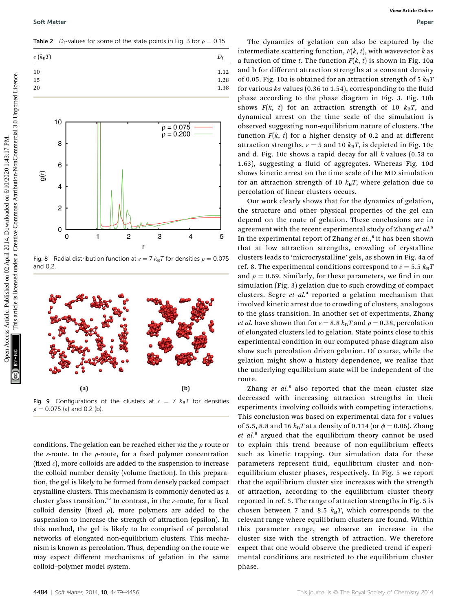Table 2  $D_f$ -values for some of the state points in Fig. 3 for  $\rho = 0.15$ 



Fig. 8 Radial distribution function at  $\epsilon = 7 k_{\text{B}}T$  for densities  $\rho = 0.075$ and 0.2.



Fig. 9 Configurations of the clusters at  $\varepsilon = 7$   $k_B T$  for densities  $\rho = 0.075$  (a) and 0.2 (b).

conditions. The gelation can be reached either  $via$  the  $\rho$ -route or the  $\varepsilon$ -route. In the  $\rho$ -route, for a fixed polymer concentration (fixed  $\varepsilon$ ), more colloids are added to the suspension to increase the colloid number density (volume fraction). In this preparation, the gel is likely to be formed from densely packed compact crystalline clusters. This mechanism is commonly denoted as a cluster glass transition.<sup>22</sup> In contrast, in the  $\varepsilon$ -route, for a fixed colloid density (fixed  $\rho$ ), more polymers are added to the suspension to increase the strength of attraction (epsilon). In this method, the gel is likely to be comprised of percolated networks of elongated non-equilibrium clusters. This mechanism is known as percolation. Thus, depending on the route we may expect different mechanisms of gelation in the same colloid–polymer model system.

The dynamics of gelation can also be captured by the intermediate scattering function,  $F(k, t)$ , with wavevector k as a function of time t. The function  $F(k, t)$  is shown in Fig. 10a and b for different attraction strengths at a constant density of 0.05. Fig. 10a is obtained for an attraction strength of 5  $k_BT$ for various  $k\sigma$  values (0.36 to 1.54), corresponding to the fluid phase according to the phase diagram in Fig. 3. Fig. 10b shows  $F(k, t)$  for an attraction strength of 10  $k_B T$ , and dynamical arrest on the time scale of the simulation is observed suggesting non-equilibrium nature of clusters. The function  $F(k, t)$  for a higher density of 0.2 and at different attraction strengths,  $\varepsilon = 5$  and 10  $k_B T$ , is depicted in Fig. 10c and d. Fig. 10c shows a rapid decay for all  $k$  values (0.58 to 1.63), suggesting a fluid of aggregates. Whereas Fig. 10d shows kinetic arrest on the time scale of the MD simulation for an attraction strength of 10  $k_BT$ , where gelation due to percolation of linear-clusters occurs.

Our work clearly shows that for the dynamics of gelation, the structure and other physical properties of the gel can depend on the route of gelation. These conclusions are in agreement with the recent experimental study of Zhang et al.<sup>8</sup> In the experimental report of Zhang et al.,<sup>8</sup> it has been shown that at low attraction strengths, crowding of crystalline clusters leads to 'microcrystalline' gels, as shown in Fig. 4a of ref. 8. The experimental conditions correspond to  $\varepsilon = 5.5$   $k_B T$ and  $\rho = 0.69$ . Similarly, for these parameters, we find in our simulation (Fig. 3) gelation due to such crowding of compact clusters. Segre et  $al<sup>4</sup>$  reported a gelation mechanism that involved kinetic arrest due to crowding of clusters, analogous to the glass transition. In another set of experiments, Zhang *et al.* have shown that for  $\varepsilon = 8.8$   $k_B T$  and  $\rho = 0.38$ , percolation of elongated clusters led to gelation. State points close to this experimental condition in our computed phase diagram also show such percolation driven gelation. Of course, while the gelation might show a history dependence, we realize that the underlying equilibrium state will be independent of the route. Section Matter Commonstrate Commonstrate Commonstrate Commonstrate Commonstrate Commonstrate Commonstrate Commonstrate Commonstrate Creative Commonstrate Creative Commonstrate Commonstrate Commonstrate Commonstrate Common

> Zhang  $et$   $al$ <sup>8</sup> also reported that the mean cluster size decreased with increasing attraction strengths in their experiments involving colloids with competing interactions. This conclusion was based on experimental data for  $\varepsilon$  values of 5.5, 8.8 and 16  $k_{\text{B}}T$  at a density of 0.114 (or  $\phi = 0.06$ ). Zhang et al.<sup>8</sup> argued that the equilibrium theory cannot be used to explain this trend because of non-equilibrium effects such as kinetic trapping. Our simulation data for these parameters represent fluid, equilibrium cluster and nonequilibrium cluster phases, respectively. In Fig. 5 we report that the equilibrium cluster size increases with the strength of attraction, according to the equilibrium cluster theory reported in ref. 5. The range of attraction strengths in Fig. 5 is chosen between 7 and 8.5  $k_B T$ , which corresponds to the relevant range where equilibrium clusters are found. Within this parameter range, we observe an increase in the cluster size with the strength of attraction. We therefore expect that one would observe the predicted trend if experimental conditions are restricted to the equilibrium cluster phase.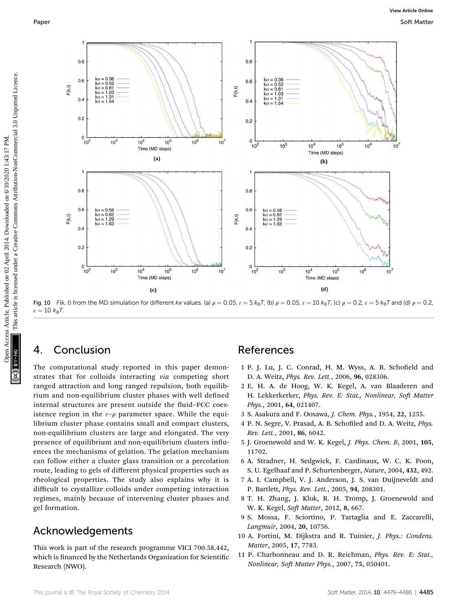

Fig. 10 F(k, t) from the MD simulation for different ka values. (a)  $\rho = 0.05$ ,  $\varepsilon = 5$  k<sub>B</sub>T, (b)  $\rho = 0.05$ ,  $\varepsilon = 10$  k<sub>B</sub>T, (c)  $\rho = 0.2$ ,  $\varepsilon = 5$  k<sub>B</sub>T and (d)  $\rho = 0.2$ ,  $\varepsilon = 10 \; k_{\text{B}}T$ .

## 4. Conclusion

The computational study reported in this paper demonstrates that for colloids interacting via competing short ranged attraction and long ranged repulsion, both equilibrium and non-equilibrium cluster phases with well defined internal structures are present outside the fluid–FCC coexistence region in the  $\varepsilon-\rho$  parameter space. While the equilibrium cluster phase contains small and compact clusters, non-equilibrium clusters are large and elongated. The very presence of equilibrium and non-equilibrium clusters influences the mechanisms of gelation. The gelation mechanism can follow either a cluster glass transition or a percolation route, leading to gels of different physical properties such as rheological properties. The study also explains why it is difficult to crystallize colloids under competing interaction regimes, mainly because of intervening cluster phases and gel formation.

## Acknowledgements

This work is part of the research programme VICI 700.58.442, which is financed by the Netherlands Organization for Scientific Research (NWO).

### References

- 1 P. J. Lu, J. C. Conrad, H. M. Wyss, A. B. Schofield and D. A. Weitz, Phys. Rev. Lett., 2006, 96, 028306.
- 2 E. H. A. de Hoog, W. K. Kegel, A. van Blaaderen and H. Lekkerkerker, Phys. Rev. E: Stat., Nonlinear, Soft Matter Phys., 2001, 64, 021407.
- 3 S. Asakura and F. Oosawa, J. Chem. Phys., 1954, 22, 1255.
- 4 P. N. Segre, V. Prasad, A. B. Schofiled and D. A. Weitz, Phys. Rev. Lett., 2001, 86, 6042.
- 5 J. Groenewold and W. K. Kegel, J. Phys. Chem. B, 2001, 105, 11702.
- 6 A. Stradner, H. Sedgwick, F. Cardinaux, W. C. K. Poon, S. U. Egelhaaf and P. Schurtenberger, Nature, 2004, 432, 492.
- 7 A. I. Campbell, V. J. Anderson, J. S. van Duijneveldt and P. Bartlett, Phys. Rev. Lett., 2005, 94, 208301.
- 8 T. H. Zhang, J. Klok, R. H. Tromp, J. Groenewold and W. K. Kegel, Soft Matter, 2012, 8, 667.
- 9 S. Mossa, F. Sciortino, P. Tartaglia and E. Zaccarelli, Langmuir, 2004, 20, 10756.
- 10 A. Fortini, M. Dijkstra and R. Tuinier, J. Phys.: Condens. Matter, 2005, 17, 7783.
- 11 P. Charbonneau and D. R. Reichman, Phys. Rev. E: Stat., Nonlinear, Soft Matter Phys., 2007, 75, 050401.